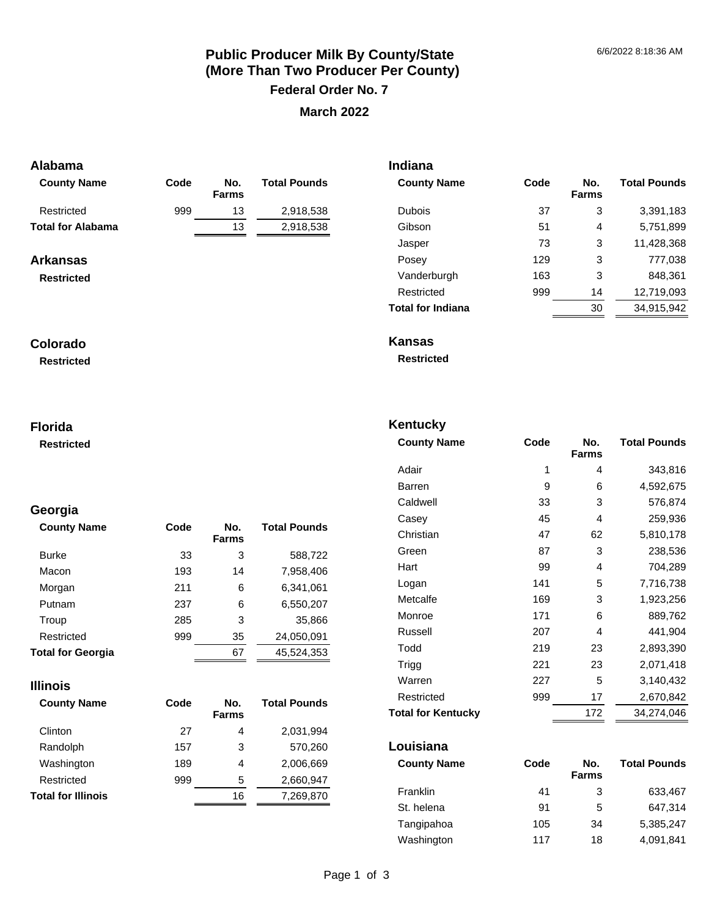# **Public Producer Milk By County/State (More Than Two Producer Per County) Federal Order No. 7 March 2022**

## **Alabama**

| <b>County Name</b>                   | Code | No.<br><b>Farms</b> | <b>Total Pounds</b> |
|--------------------------------------|------|---------------------|---------------------|
| Restricted                           | 999  | 13                  | 2,918,538           |
| <b>Total for Alabama</b>             |      | 13                  | 2,918,538           |
| <b>Arkansas</b><br><b>Restricted</b> |      |                     |                     |

#### **Colorado**

**Restricted**

#### **Florida**

**Restricted**

# **Georgia**

| <b>County Name</b>       | Code | No.<br><b>Farms</b> | <b>Total Pounds</b> |
|--------------------------|------|---------------------|---------------------|
| <b>Burke</b>             | 33   | 3                   | 588,722             |
| Macon                    | 193  | 14                  | 7,958,406           |
| Morgan                   | 211  | 6                   | 6,341,061           |
| Putnam                   | 237  | 6                   | 6,550,207           |
| Troup                    | 285  | 3                   | 35,866              |
| Restricted               | 999  | 35                  | 24,050,091          |
| <b>Total for Georgia</b> |      | 67                  | 45.524.353          |

#### **Illinois**

| <b>County Name</b>        | Code | No.<br><b>Farms</b> | <b>Total Pounds</b> |
|---------------------------|------|---------------------|---------------------|
| Clinton                   | 27   | 4                   | 2,031,994           |
| Randolph                  | 157  | 3                   | 570.260             |
| Washington                | 189  | 4                   | 2,006,669           |
| Restricted                | 999  | 5                   | 2,660,947           |
| <b>Total for Illinois</b> |      | 16                  | 7,269,870           |

| <b>Indiana</b>           |      |                     |                     |
|--------------------------|------|---------------------|---------------------|
| <b>County Name</b>       | Code | No.<br><b>Farms</b> | <b>Total Pounds</b> |
| Dubois                   | 37   | 3                   | 3,391,183           |
| Gibson                   | 51   | 4                   | 5,751,899           |
| Jasper                   | 73   | 3                   | 11,428,368          |
| Posey                    | 129  | 3                   | 777,038             |
| Vanderburgh              | 163  | 3                   | 848,361             |
| Restricted               | 999  | 14                  | 12,719,093          |
| <b>Total for Indiana</b> |      | 30                  | 34,915,942          |
|                          |      |                     |                     |

**Kansas** 

**Restricted**

# **Kentucky**

| Code | No.<br><b>Farms</b> | <b>Total Pounds</b> |
|------|---------------------|---------------------|
| 1    | 4                   | 343,816             |
| 9    | 6                   | 4,592,675           |
| 33   | 3                   | 576,874             |
| 45   | 4                   | 259,936             |
| 47   | 62                  | 5,810,178           |
| 87   | 3                   | 238,536             |
| 99   | 4                   | 704,289             |
| 141  | 5                   | 7,716,738           |
| 169  | 3                   | 1,923,256           |
| 171  | 6                   | 889,762             |
| 207  | 4                   | 441,904             |
| 219  | 23                  | 2,893,390           |
| 221  | 23                  | 2,071,418           |
| 227  | 5                   | 3,140,432           |
| 999  | 17                  | 2,670,842           |
|      | 172                 | 34,274,046          |
|      |                     |                     |

#### **Louisiana**

| <b>County Name</b> | Code | No.<br><b>Farms</b> | <b>Total Pounds</b> |
|--------------------|------|---------------------|---------------------|
| Franklin           | 41   | 3                   | 633,467             |
| St. helena         | 91   | 5                   | 647.314             |
| Tangipahoa         | 105  | 34                  | 5.385.247           |
| Washington         | 117  | 18                  | 4,091,841           |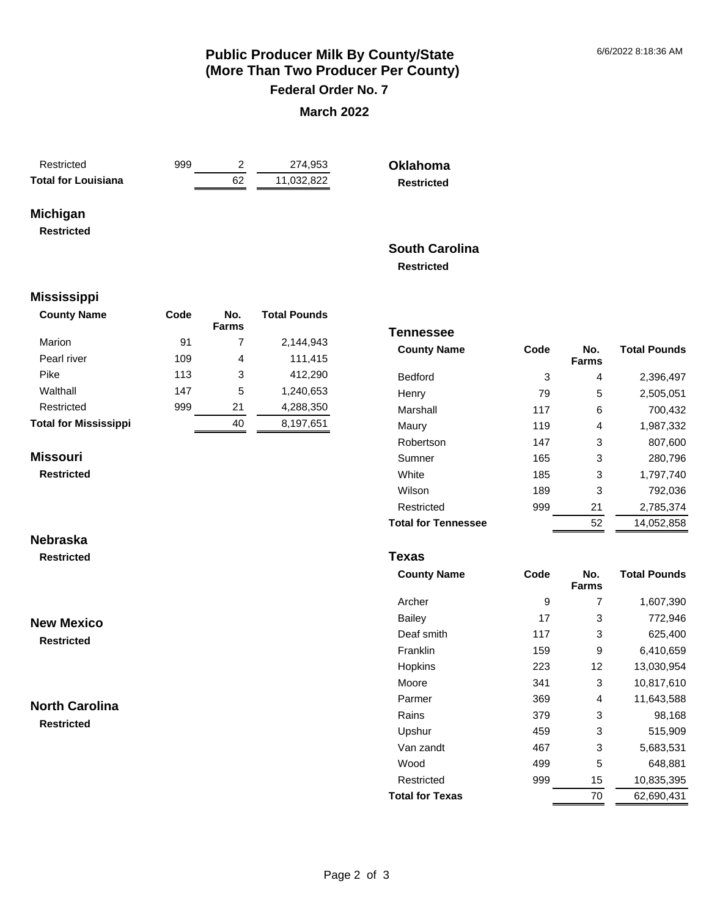# **Public Producer Milk By County/State (More Than Two Producer Per County) Federal Order No. 7**

#### **March 2022**

| Restricted                 |  |
|----------------------------|--|
| <b>Total for Louisiana</b> |  |

999 2 274,953 **Total for Louisiana** 62 11,032,822 **Oklahoma Restricted**

# **Michigan**

**Restricted**

#### **South Carolina Restricted**

**Tennessee** 

#### **Mississippi**

| <b>County Name</b>           | Code | No.<br><b>Farms</b> | <b>Total Pounds</b> |
|------------------------------|------|---------------------|---------------------|
| Marion                       | 91   | 7                   | 2,144,943           |
| Pearl river                  | 109  | 4                   | 111,415             |
| Pike                         | 113  | 3                   | 412,290             |
| Walthall                     | 147  | 5                   | 1,240,653           |
| Restricted                   | 999  | 21                  | 4,288,350           |
| <b>Total for Mississippi</b> |      | 40                  | 8,197,651           |

#### **Missouri**

**Nebraska Restricted**

**Restricted**

# Marshall 117 6 700,432 Maury 119 4 1,987,332 Robertson 147 3 807,600 Sumner 165 3 280,796 White 185 3 1,797,740 Wilson 189 3 792,036 Restricted 999 21 2,785,374 **Total for Tennessee** 52 14,052,858

Bedford 3 4 2,396,497 Henry 79 5 2,505,051

**Farms**

**Total Pounds**

**County Name Code No.** 

#### **Texas**

| <b>County Name</b>     | Code | No.<br><b>Farms</b> | <b>Total Pounds</b> |
|------------------------|------|---------------------|---------------------|
| Archer                 | 9    | 7                   | 1,607,390           |
| Bailey                 | 17   | 3                   | 772,946             |
| Deaf smith             | 117  | 3                   | 625,400             |
| Franklin               | 159  | 9                   | 6,410,659           |
| Hopkins                | 223  | 12                  | 13,030,954          |
| Moore                  | 341  | 3                   | 10,817,610          |
| Parmer                 | 369  | 4                   | 11,643,588          |
| Rains                  | 379  | 3                   | 98,168              |
| Upshur                 | 459  | 3                   | 515,909             |
| Van zandt              | 467  | 3                   | 5,683,531           |
| Wood                   | 499  | 5                   | 648,881             |
| Restricted             | 999  | 15                  | 10,835,395          |
| <b>Total for Texas</b> |      | 70                  | 62,690,431          |

# **North Carolina**

**New Mexico Restricted**

**Restricted**